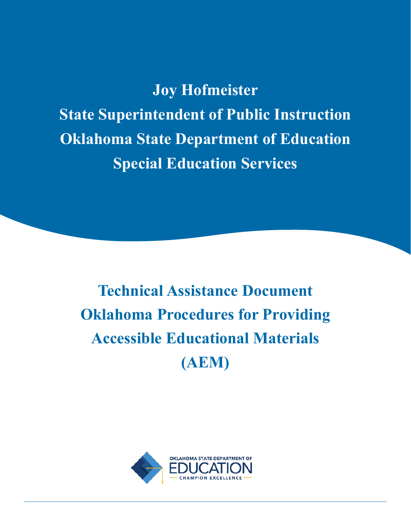**Joy Hofmeister State Superintendent of Public Instruction Oklahoma State Department of Education Special Education Services**

**Technical Assistance Document Oklahoma Procedures for Providing Accessible Educational Materials (AEM)**

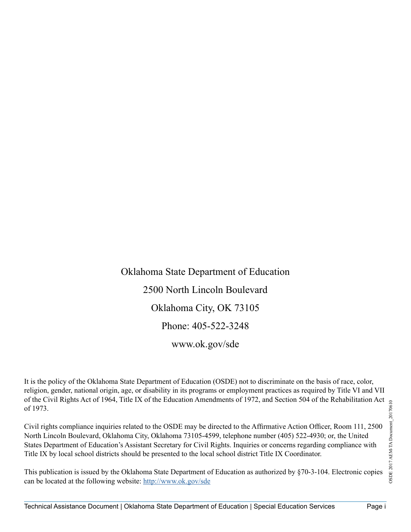Oklahoma State Department of Education 2500 North Lincoln Boulevard Oklahoma City, OK 73105 Phone: 405-522-3248 [www.ok.gov/sde](http://www.ok.gov/sde)

It is the policy of the Oklahoma State Department of Education (OSDE) not to discriminate on the basis of race, color, religion, gender, national origin, age, or disability in its programs or employment practices as required by Title VI and VII of the Civil Rights Act of 1964, Title IX of the Education Amendments of 1972, and Section 504 of the Rehabilitation Act of 1973.

Civil rights compliance inquiries related to the OSDE may be directed to the Affirmative Action Officer, Room 111, 2500 North Lincoln Boulevard, Oklahoma City, Oklahoma 73105-4599, telephone number (405) 522-4930; or, the United States Department of Education's Assistant Secretary for Civil Rights. Inquiries or concerns regarding compliance with Title IX by local school districts should be presented to the local school district Title IX Coordinator.

This publication is issued by the Oklahoma State Department of Education as authorized by §70-3-104. Electronic copies can be located at the following website:<http://www.ok.gov/sde>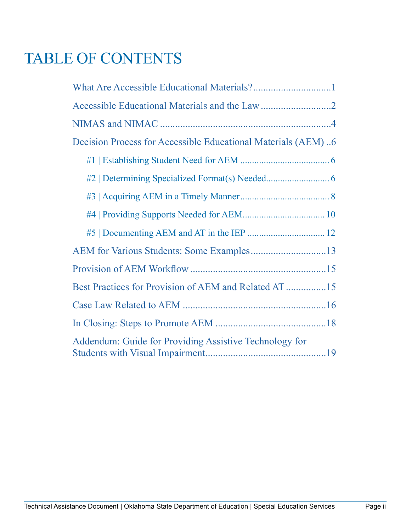# <span id="page-2-0"></span>TABLE OF CONTENTS

| Decision Process for Accessible Educational Materials (AEM)6 |  |
|--------------------------------------------------------------|--|
|                                                              |  |
|                                                              |  |
|                                                              |  |
|                                                              |  |
|                                                              |  |
|                                                              |  |
|                                                              |  |
|                                                              |  |
|                                                              |  |
|                                                              |  |
| Addendum: Guide for Providing Assistive Technology for       |  |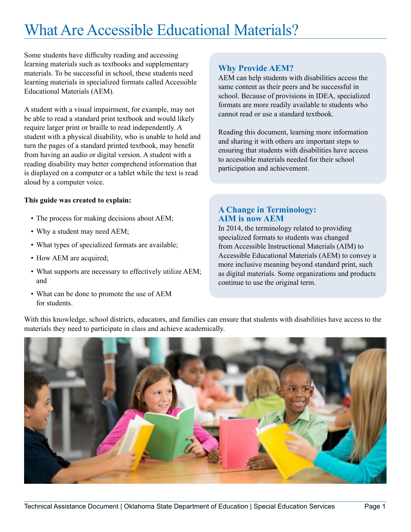# <span id="page-3-0"></span>What Are Accessible Educational Materials?

Some students have difficulty reading and accessing learning materials such as textbooks and supplementary materials. To be successful in school, these students need learning materials in specialized formats called Accessible Educational Materials (AEM).

A student with a visual impairment, for example, may not be able to read a standard print textbook and would likely require larger print or braille to read independently. A student with a physical disability, who is unable to hold and turn the pages of a standard printed textbook, may benefit from having an audio or digital version. A student with a reading disability may better comprehend information that is displayed on a computer or a tablet while the text is read aloud by a computer voice.

#### **This guide was created to explain:**

- The process for making decisions about AEM;
- Why a student may need AEM;
- What types of specialized formats are available;
- How AEM are acquired;
- What supports are necessary to effectively utilize AEM; and
- What can be done to promote the use of AEM for students.

## **Why Provide AEM?**

AEM can help students with disabilities access the same content as their peers and be successful in school. Because of provisions in IDEA, specialized formats are more readily available to students who cannot read or use a standard textbook.

Reading this document, learning more information and sharing it with others are important steps to ensuring that students with disabilities have access to accessible materials needed for their school participation and achievement.

## **A Change in Terminology: AIM is now AEM**

In 2014, the terminology related to providing specialized formats to students was changed from Accessible Instructional Materials (AIM) to Accessible Educational Materials (AEM) to convey a more inclusive meaning beyond standard print, such as digital materials. Some organizations and products continue to use the original term.

With this knowledge, school districts, educators, and families can ensure that students with disabilities have access to the materials they need to participate in class and achieve academically.

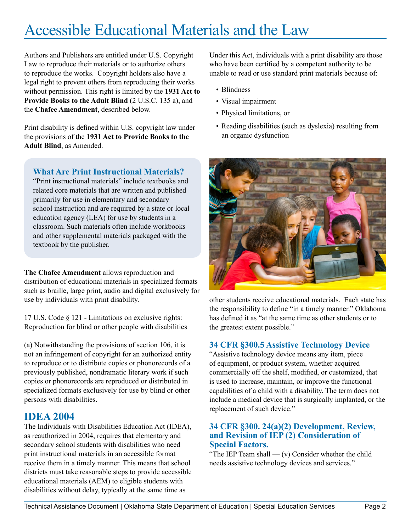# <span id="page-4-0"></span>Accessible Educational Materials and the Law

Authors and Publishers are entitled under U.S. Copyright Law to reproduce their materials or to authorize others to reproduce the works. Copyright holders also have a legal right to prevent others from reproducing their works without permission. This right is limited by the **1931 Act to Provide Books to the Adult Blind** (2 U.S.C. 135 a), and the **Chafee Amendment**, described below.

Print disability is defined within U.S. copyright law under the provisions of the **1931 Act to Provide Books to the Adult Blind**, as Amended.

Under this Act, individuals with a print disability are those who have been certified by a competent authority to be unable to read or use standard print materials because of:

- Blindness
- Visual impairment
- Physical limitations, or
- Reading disabilities (such as dyslexia) resulting from an organic dysfunction



other students receive educational materials. Each state has the responsibility to define "in a timely manner." Oklahoma has defined it as "at the same time as other students or to the greatest extent possible."

## **34 CFR §300.5 Assistive Technology Device**

"Assistive technology device means any item, piece of equipment, or product system, whether acquired commercially off the shelf, modified, or customized, that is used to increase, maintain, or improve the functional capabilities of a child with a disability. The term does not include a medical device that is surgically implanted, or the replacement of such device."

#### **34 CFR §300. 24(a)(2) Development, Review, and Revision of IEP (2) Consideration of Special Factors.**

"The IEP Team shall  $-$  (v) Consider whether the child needs assistive technology devices and services."

## **What Are Print Instructional Materials?**

"Print instructional materials" include textbooks and related core materials that are written and published primarily for use in elementary and secondary school instruction and are required by a state or local education agency (LEA) for use by students in a classroom. Such materials often include workbooks and other supplemental materials packaged with the textbook by the publisher.

**The Chafee Amendment** allows reproduction and distribution of educational materials in specialized formats such as braille, large print, audio and digital exclusively for use by individuals with print disability.

17 U.S. Code § 121 - Limitations on exclusive rights: Reproduction for blind or other people with disabilities

(a) Notwithstanding the provisions of section 106, it is not an infringement of copyright for an authorized entity to reproduce or to distribute copies or phonorecords of a previously published, nondramatic literary work if such copies or phonorecords are reproduced or distributed in specialized formats exclusively for use by blind or other persons with disabilities.

## **IDEA 2004**

The Individuals with Disabilities Education Act (IDEA), as reauthorized in 2004, requires that elementary and secondary school students with disabilities who need print instructional materials in an accessible format receive them in a timely manner. This means that school districts must take reasonable steps to provide accessible educational materials (AEM) to eligible students with disabilities without delay, typically at the same time as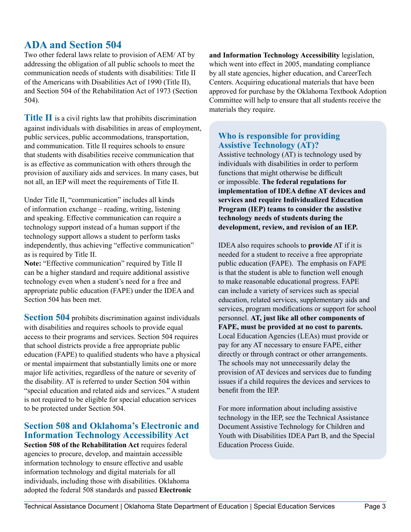## **ADA and Section 504**

Two other federal laws relate to provision of AEM/ AT by addressing the obligation of all public schools to meet the communication needs of students with disabilities: Title II of the Americans with Disabilities Act of 1990 (Title II), and Section 504 of the Rehabilitation Act of 1973 (Section 504).

**Title II** is a civil rights law that prohibits discrimination against individuals with disabilities in areas of employment, public services, public accommodations, transportation, and communication. Title II requires schools to ensure that students with disabilities receive communication that is as effective as communication with others through the provision of auxiliary aids and services. In many cases, but not all, an IEP will meet the requirements of Title II.

Under Title II, "communication" includes all kinds of information exchange – reading, writing, listening and speaking. Effective communication can require a technology support instead of a human support if the technology support allows a student to perform tasks independently, thus achieving "effective communication" as is required by Title II.

**Note:** "Effective communication" required by Title II can be a higher standard and require additional assistive technology even when a student's need for a free and appropriate public education (FAPE) under the IDEA and Section 504 has been met.

**Section 504** prohibits discrimination against individuals with disabilities and requires schools to provide equal access to their programs and services. Section 504 requires that school districts provide a free appropriate public education (FAPE) to qualified students who have a physical or mental impairment that substantially limits one or more major life activities, regardless of the nature or severity of the disability. AT is referred to under Section 504 within "special education and related aids and services." A student is not required to be eligible for special education services to be protected under Section 504.

## **Section 508 and Oklahoma's Electronic and Information Technology Accessibility Act**

**Section 508 of the Rehabilitation Act** requires federal agencies to procure, develop, and maintain accessible information technology to ensure effective and usable information technology and digital materials for all individuals, including those with disabilities. Oklahoma adopted the federal 508 standards and passed **Electronic** 

**and Information Technology Accessibility** legislation, which went into effect in 2005, mandating compliance by all state agencies, higher education, and CareerTech Centers. Acquiring educational materials that have been approved for purchase by the Oklahoma Textbook Adoption Committee will help to ensure that all students receive the materials they require.

### **Who is responsible for providing Assistive Technology (AT)?**

Assistive technology (AT) is technology used by individuals with disabilities in order to perform functions that might otherwise be difficult or impossible. **The federal regulations for implementation of IDEA define AT devices and services and require Individualized Education Program (IEP) teams to consider the assistive technology needs of students during the development, review, and revision of an IEP.** 

IDEA also requires schools to **provide** AT if it is needed for a student to receive a free appropriate public education (FAPE). The emphasis on FAPE is that the student is able to function well enough to make reasonable educational progress. FAPE can include a variety of services such as special education, related services, supplementary aids and services, program modifications or support for school personnel. **AT, just like all other components of FAPE, must be provided at no cost to parents.**  Local Education Agencies (LEAs) must provide or pay for any AT necessary to ensure FAPE, either directly or through contract or other arrangements. The schools may not unnecessarily delay the provision of AT devices and services due to funding issues if a child requires the devices and services to benefit from the IEP.

For more information about including assistive technology in the IEP, see the Technical Assistance Document Assistive Technology for Children and Youth with Disabilities IDEA Part B, and the Special Education Process Guide.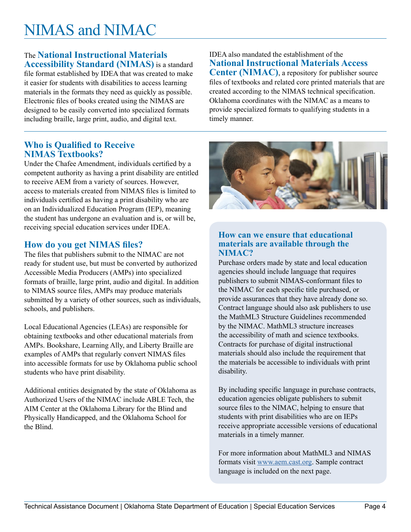# <span id="page-6-0"></span>NIMAS and NIMAC

#### The **National Instructional Materials Accessibility Standard (NIMAS)** is a standard

file format established by IDEA that was created to make it easier for students with disabilities to access learning materials in the formats they need as quickly as possible. Electronic files of books created using the NIMAS are designed to be easily converted into specialized formats including braille, large print, audio, and digital text.

### **Who is Qualified to Receive NIMAS Textbooks?**

Under the Chafee Amendment, individuals certified by a competent authority as having a print disability are entitled to receive AEM from a variety of sources. However, access to materials created from NIMAS files is limited to individuals certified as having a print disability who are on an Individualized Education Program (IEP), meaning the student has undergone an evaluation and is, or will be, receiving special education services under IDEA.

## **How do you get NIMAS files?**

The files that publishers submit to the NIMAC are not ready for student use, but must be converted by authorized Accessible Media Producers (AMPs) into specialized formats of braille, large print, audio and digital. In addition to NIMAS source files, AMPs may produce materials submitted by a variety of other sources, such as individuals, schools, and publishers.

Local Educational Agencies (LEAs) are responsible for obtaining textbooks and other educational materials from AMPs. Bookshare, Learning Ally, and Liberty Braille are examples of AMPs that regularly convert NIMAS files into accessible formats for use by Oklahoma public school students who have print disability.

Additional entities designated by the state of Oklahoma as Authorized Users of the NIMAC include ABLE Tech, the AIM Center at the Oklahoma Library for the Blind and Physically Handicapped, and the Oklahoma School for the Blind.

IDEA also mandated the establishment of the **National Instructional Materials Access Center (NIMAC)**, a repository for publisher source files of textbooks and related core printed materials that are created according to the NIMAS technical specification. Oklahoma coordinates with the NIMAC as a means to provide specialized formats to qualifying students in a timely manner.



### **How can we ensure that educational materials are available through the NIMAC?**

Purchase orders made by state and local education agencies should include language that requires publishers to submit NIMAS-conformant files to the NIMAC for each specific title purchased, or provide assurances that they have already done so. Contract language should also ask publishers to use the MathML3 Structure Guidelines recommended by the NIMAC. MathML3 structure increases the accessibility of math and science textbooks. Contracts for purchase of digital instructional materials should also include the requirement that the materials be accessible to individuals with print disability.

By including specific language in purchase contracts, education agencies obligate publishers to submit source files to the NIMAC, helping to ensure that students with print disabilities who are on IEPs receive appropriate accessible versions of educational materials in a timely manner.

For more information about MathML3 and NIMAS formats visit [www.aem.cast.org.](www.aem.cast.org) Sample contract language is included on the next page.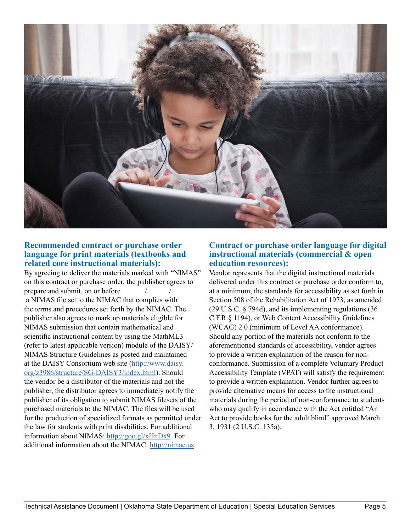

#### **Recommended contract or purchase order language for print materials (textbooks and related core instructional materials):**

By agreeing to deliver the materials marked with "NIMAS" on this contract or purchase order, the publisher agrees to prepare and submit, on or before

 a NIMAS file set to the NIMAC that complies with the terms and procedures set forth by the NIMAC. The publisher also agrees to mark up materials eligible for NIMAS submission that contain mathematical and scientific instructional content by using the MathML3 (refer to latest applicable version) module of the DAISY/ NIMAS Structure Guidelines as posted and maintained at the DAISY Consortium web site [\(http://www.daisy.](http://www.daisy.org/z3986/structure/SG-DAISY3/index.html) [org/z3986/structure/SG-DAISY3/index.html](http://www.daisy.org/z3986/structure/SG-DAISY3/index.html)). Should the vendor be a distributor of the materials and not the publisher, the distributor agrees to immediately notify the publisher of its obligation to submit NIMAS filesets of the purchased materials to the NIMAC. The files will be used for the production of specialized formats as permitted under the law for students with print disabilities. For additional information about NIMAS:<http://goo.gl/xHnDx9>. For additional information about the NIMAC: [http://nimac.us.](http://nimac.us)

#### **Contract or purchase order language for digital instructional materials (commercial & open education resources):**

Vendor represents that the digital instructional materials delivered under this contract or purchase order conform to, at a minimum, the standards for accessibility as set forth in Section 508 of the Rehabilitation Act of 1973, as amended (29 U.S.C. § 794d), and its implementing regulations (36 C.F.R.§ 1194), or Web Content Accessibility Guidelines (WCAG) 2.0 (minimum of Level AA conformance). Should any portion of the materials not conform to the aforementioned standards of accessibility, vendor agrees to provide a written explanation of the reason for nonconformance. Submission of a complete Voluntary Product Accessibility Template (VPAT) will satisfy the requirement to provide a written explanation. Vendor further agrees to provide alternative means for access to the instructional materials during the period of non-conformance to students who may qualify in accordance with the Act entitled "An Act to provide books for the adult blind" approved March 3, 1931 (2 U.S.C. 135a).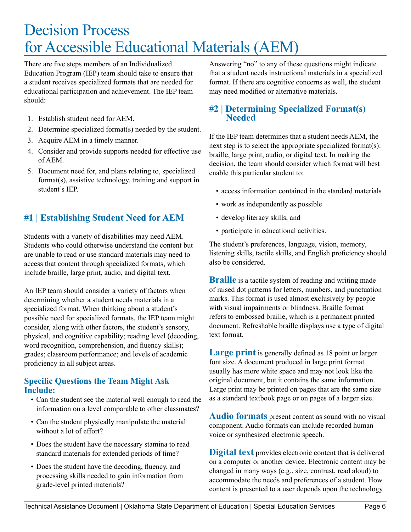## <span id="page-8-0"></span>Decision Process for Accessible Educational Materials (AEM)

There are five steps members of an Individualized Education Program (IEP) team should take to ensure that a student receives specialized formats that are needed for educational participation and achievement. The IEP team should:

- 1. Establish student need for AEM.
- 2. Determine specialized format(s) needed by the student.
- 3. Acquire AEM in a timely manner.
- 4. Consider and provide supports needed for effective use of AEM.
- 5. Document need for, and plans relating to, specialized format(s), assistive technology, training and support in student's IEP.

## **#1 | Establishing Student Need for AEM**

Students with a variety of disabilities may need AEM. Students who could otherwise understand the content but are unable to read or use standard materials may need to access that content through specialized formats, which include braille, large print, audio, and digital text.

An IEP team should consider a variety of factors when determining whether a student needs materials in a specialized format. When thinking about a student's possible need for specialized formats, the IEP team might consider, along with other factors, the student's sensory, physical, and cognitive capability; reading level (decoding, word recognition, comprehension, and fluency skills); grades; classroom performance; and levels of academic proficiency in all subject areas.

### **Specific Questions the Team Might Ask Include:**

- Can the student see the material well enough to read the information on a level comparable to other classmates?
- Can the student physically manipulate the material without a lot of effort?
- Does the student have the necessary stamina to read standard materials for extended periods of time?
- Does the student have the decoding, fluency, and processing skills needed to gain information from grade-level printed materials?

Answering "no" to any of these questions might indicate that a student needs instructional materials in a specialized format. If there are cognitive concerns as well, the student may need modified or alternative materials.

## **#2 | Determining Specialized Format(s) Needed**

If the IEP team determines that a student needs AEM, the next step is to select the appropriate specialized format(s): braille, large print, audio, or digital text. In making the decision, the team should consider which format will best enable this particular student to:

- access information contained in the standard materials
- work as independently as possible
- develop literacy skills, and
- participate in educational activities.

The student's preferences, language, vision, memory, listening skills, tactile skills, and English proficiency should also be considered.

**Braille** is a tactile system of reading and writing made of raised dot patterns for letters, numbers, and punctuation marks. This format is used almost exclusively by people with visual impairments or blindness. Braille format refers to embossed braille, which is a permanent printed document. Refreshable braille displays use a type of digital text format.

Large print is generally defined as 18 point or larger font size. A document produced in large print format usually has more white space and may not look like the original document, but it contains the same information. Large print may be printed on pages that are the same size as a standard textbook page or on pages of a larger size.

**Audio formats** present content as sound with no visual component. Audio formats can include recorded human voice or synthesized electronic speech.

**Digital text** provides electronic content that is delivered on a computer or another device. Electronic content may be changed in many ways (e.g., size, contrast, read aloud) to accommodate the needs and preferences of a student. How content is presented to a user depends upon the technology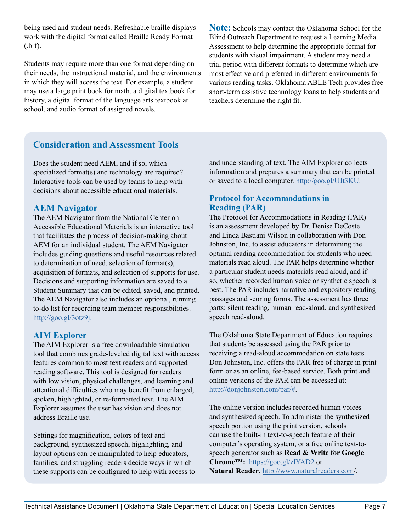being used and student needs. Refreshable braille displays work with the digital format called Braille Ready Format (.brf).

Students may require more than one format depending on their needs, the instructional material, and the environments in which they will access the text. For example, a student may use a large print book for math, a digital textbook for history, a digital format of the language arts textbook at school, and audio format of assigned novels.

**Note:** Schools may contact the Oklahoma School for the Blind Outreach Department to request a Learning Media Assessment to help determine the appropriate format for students with visual impairment. A student may need a trial period with different formats to determine which are most effective and preferred in different environments for various reading tasks. Oklahoma ABLE Tech provides free short-term assistive technology loans to help students and teachers determine the right fit.

## **Consideration and Assessment Tools**

Does the student need AEM, and if so, which specialized format(s) and technology are required? Interactive tools can be used by teams to help with decisions about accessible educational materials.

## **AEM Navigator**

The AEM Navigator from the National Center on Accessible Educational Materials is an interactive tool that facilitates the process of decision-making about AEM for an individual student. The AEM Navigator includes guiding questions and useful resources related to determination of need, selection of format(s), acquisition of formats, and selection of supports for use. Decisions and supporting information are saved to a Student Summary that can be edited, saved, and printed. The AEM Navigator also includes an optional, running to-do list for recording team member responsibilities. <http://goo.gl/3otz9j>.

## **AIM Explorer**

The AIM Explorer is a free downloadable simulation tool that combines grade-leveled digital text with access features common to most text readers and supported reading software. This tool is designed for readers with low vision, physical challenges, and learning and attentional difficulties who may benefit from enlarged, spoken, highlighted, or re-formatted text. The AIM Explorer assumes the user has vision and does not address Braille use.

Settings for magnification, colors of text and background, synthesized speech, highlighting, and layout options can be manipulated to help educators, families, and struggling readers decide ways in which these supports can be configured to help with access to and understanding of text. The AIM Explorer collects information and prepares a summary that can be printed or saved to a local computer.<http://goo.gl/UJt3KU>.

### **Protocol for Accommodations in Reading (PAR)**

The Protocol for Accommodations in Reading (PAR) is an assessment developed by Dr. Denise DeCoste and Linda Bastiani Wilson in collaboration with Don Johnston, Inc. to assist educators in determining the optimal reading accommodation for students who need materials read aloud. The PAR helps determine whether a particular student needs materials read aloud, and if so, whether recorded human voice or synthetic speech is best. The PAR includes narrative and expository reading passages and scoring forms. The assessment has three parts: silent reading, human read-aloud, and synthesized speech read-aloud.

The Oklahoma State Department of Education requires that students be assessed using the PAR prior to receiving a read-aloud accommodation on state tests. Don Johnston, Inc. offers the PAR free of charge in print form or as an online, fee-based service. Both print and online versions of the PAR can be accessed at: <http://donjohnston.com/par>/#.

The online version includes recorded human voices and synthesized speech. To administer the synthesized speech portion using the print version, schools can use the built-in text-to-speech feature of their computer's operating system, or a free online text-tospeech generator such as **Read & Write for Google Chrome™:** <https://goo.gl/zlYAD2>or **Natural Reader**,<http://www.naturalreaders.com>/.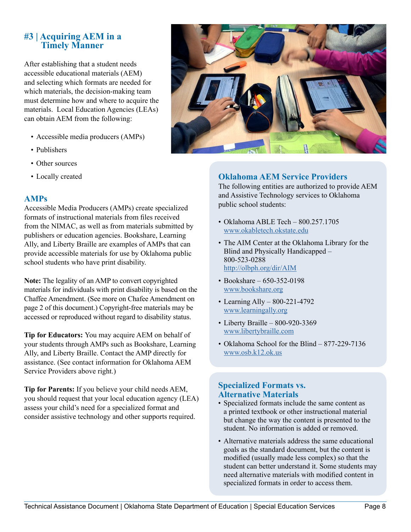## <span id="page-10-0"></span>**#3 | Acquiring AEM in a Timely Manner**

After establishing that a student needs accessible educational materials (AEM) and selecting which formats are needed for which materials, the decision-making team must determine how and where to acquire the materials. Local Education Agencies (LEAs) can obtain AEM from the following:

- Accessible media producers (AMPs)
- Publishers
- Other sources
- Locally created

### **AMPs**

Accessible Media Producers (AMPs) create specialized formats of instructional materials from files received from the NIMAC, as well as from materials submitted by publishers or education agencies. Bookshare, Learning Ally, and Liberty Braille are examples of AMPs that can provide accessible materials for use by Oklahoma public school students who have print disability.

**Note:** The legality of an AMP to convert copyrighted materials for individuals with print disability is based on the Chaffee Amendment. (See more on Chafee Amendment on page 2 of this document.) Copyright-free materials may be accessed or reproduced without regard to disability status.

**Tip for Educators:** You may acquire AEM on behalf of your students through AMPs such as Bookshare, Learning Ally, and Liberty Braille. Contact the AMP directly for assistance. (See contact information for Oklahoma AEM Service Providers above right.)

**Tip for Parents:** If you believe your child needs AEM, you should request that your local education agency (LEA) assess your child's need for a specialized format and consider assistive technology and other supports required.



## **Oklahoma AEM Service Providers**

The following entities are authorized to provide AEM and Assistive Technology services to Oklahoma public school students:

- Oklahoma ABLE Tech 800.257.1705 www.o[kabletech.okstate.edu](okabletech.okstate.edu)
- The AIM Center at the Oklahoma Library for the Blind and Physically Handicapped – 800-523-0288 <http://olbph.org/dir/AIM>
- Bookshare 650-352-0198 www.b[ookshare.org](bookshare.org)
- Learning Ally 800-221-4792 www.<learningally.org>
- Liberty Braille 800-920-3369 www.<libertybraille.com>
- Oklahoma School for the Blind 877-229-7136 www.o[sb.k12.ok.us](osb.k12.ok.us)

### **Specialized Formats vs. Alternative Materials**

- Specialized formats include the same content as a printed textbook or other instructional material but change the way the content is presented to the student. No information is added or removed.
- Alternative materials address the same educational goals as the standard document, but the content is modified (usually made less complex) so that the student can better understand it. Some students may need alternative materials with modified content in specialized formats in order to access them.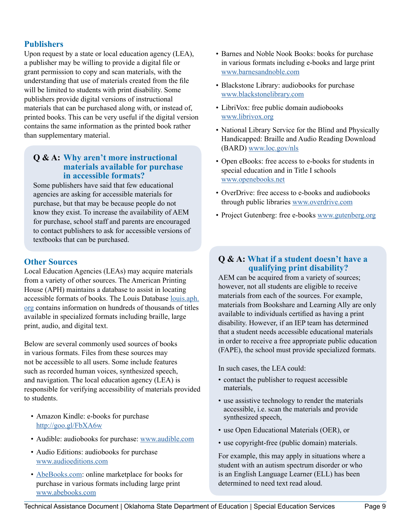#### **Publishers**

Upon request by a state or local education agency (LEA), a publisher may be willing to provide a digital file or grant permission to copy and scan materials, with the understanding that use of materials created from the file will be limited to students with print disability. Some publishers provide digital versions of instructional materials that can be purchased along with, or instead of, printed books. This can be very useful if the digital version contains the same information as the printed book rather than supplementary material.

#### **Q & A: Why aren't more instructional materials available for purchase in accessible formats?**

Some publishers have said that few educational agencies are asking for accessible materials for purchase, but that may be because people do not know they exist. To increase the availability of AEM for purchase, school staff and parents are encouraged to contact publishers to ask for accessible versions of textbooks that can be purchased.

### **Other Sources**

Local Education Agencies (LEAs) may acquire materials from a variety of other sources. The American Printing House (APH) maintains a database to assist in locating accessible formats of books. The Louis Database [louis.aph.](louis.aph.org) [org](louis.aph.org) contains information on hundreds of thousands of titles available in specialized formats including braille, large print, audio, and digital text.

Below are several commonly used sources of books in various formats. Files from these sources may not be accessible to all users. Some include features such as recorded human voices, synthesized speech, and navigation. The local education agency (LEA) is responsible for verifying accessibility of materials provided to students.

- Amazon Kindle: e-books for purchase <http://goo.gl/FbXA6w>
- Audible: audiobooks for purchase: www.a[udible.com](audible.com)
- Audio Editions: audiobooks for purchase <www.audioeditions.com>
- <AbeBooks.com>: online marketplace for books for purchase in various formats including large print www.a[bebooks.com](abebooks.com)
- Barnes and Noble Nook Books: books for purchase in various formats including e-books and large print www.<barnesandnoble.com>
- Blackstone Library: audiobooks for purchase www.<blackstonelibrary.com>
- LibriVox: free public domain audiobooks www.l[ibrivox.org](librivox.org)
- National Library Service for the Blind and Physically Handicapped: Braille and Audio Reading Download (BARD) www.<loc.gov/nls>
- Open eBooks: free access to e-books for students in special education and in Title I schools www.<openebooks.net>
- OverDrive: free access to e-books and audiobooks through public libraries www.<overdrive.com>
- Project Gutenberg: free e-books www.<gutenberg.org>

### **Q & A: What if a student doesn't have a qualifying print disability?**

AEM can be acquired from a variety of sources; however, not all students are eligible to receive materials from each of the sources. For example, materials from Bookshare and Learning Ally are only available to individuals certified as having a print disability. However, if an IEP team has determined that a student needs accessible educational materials in order to receive a free appropriate public education (FAPE), the school must provide specialized formats.

In such cases, the LEA could:

- contact the publisher to request accessible materials,
- use assistive technology to render the materials accessible, i.e. scan the materials and provide synthesized speech,
- use Open Educational Materials (OER), or
- use copyright-free (public domain) materials.

For example, this may apply in situations where a student with an autism spectrum disorder or who is an English Language Learner (ELL) has been determined to need text read aloud.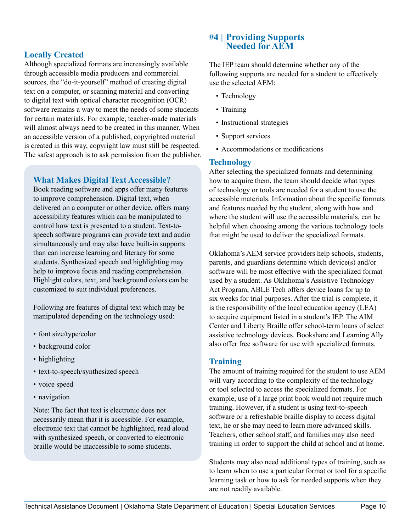## <span id="page-12-0"></span>**Locally Created**

Although specialized formats are increasingly available through accessible media producers and commercial sources, the "do-it-yourself" method of creating digital text on a computer, or scanning material and converting to digital text with optical character recognition (OCR) software remains a way to meet the needs of some students for certain materials. For example, teacher-made materials will almost always need to be created in this manner. When an accessible version of a published, copyrighted material is created in this way, copyright law must still be respected. The safest approach is to ask permission from the publisher.

## **What Makes Digital Text Accessible?**

Book reading software and apps offer many features to improve comprehension. Digital text, when delivered on a computer or other device, offers many accessibility features which can be manipulated to control how text is presented to a student. Text-tospeech software programs can provide text and audio simultaneously and may also have built-in supports than can increase learning and literacy for some students. Synthesized speech and highlighting may help to improve focus and reading comprehension. Highlight colors, text, and background colors can be customized to suit individual preferences.

Following are features of digital text which may be manipulated depending on the technology used:

- font size/type/color
- background color
- highlighting
- text-to-speech/synthesized speech
- voice speed
- navigation

Note: The fact that text is electronic does not necessarily mean that it is accessible. For example, electronic text that cannot be highlighted, read aloud with synthesized speech, or converted to electronic braille would be inaccessible to some students.

## **#4 | Providing Supports Needed for AEM**

The IEP team should determine whether any of the following supports are needed for a student to effectively use the selected AEM:

- Technology
- Training
- Instructional strategies
- Support services
- Accommodations or modifications

### **Technology**

After selecting the specialized formats and determining how to acquire them, the team should decide what types of technology or tools are needed for a student to use the accessible materials. Information about the specific formats and features needed by the student, along with how and where the student will use the accessible materials, can be helpful when choosing among the various technology tools that might be used to deliver the specialized formats.

Oklahoma's AEM service providers help schools, students, parents, and guardians determine which device(s) and/or software will be most effective with the specialized format used by a student. As Oklahoma's Assistive Technology Act Program, ABLE Tech offers device loans for up to six weeks for trial purposes. After the trial is complete, it is the responsibility of the local education agency (LEA) to acquire equipment listed in a student's IEP. The AIM Center and Liberty Braille offer school-term loans of select assistive technology devices. Bookshare and Learning Ally also offer free software for use with specialized formats.

## **Training**

The amount of training required for the student to use AEM will vary according to the complexity of the technology or tool selected to access the specialized formats. For example, use of a large print book would not require much training. However, if a student is using text-to-speech software or a refreshable braille display to access digital text, he or she may need to learn more advanced skills. Teachers, other school staff, and families may also need training in order to support the child at school and at home.

Students may also need additional types of training, such as to learn when to use a particular format or tool for a specific learning task or how to ask for needed supports when they are not readily available.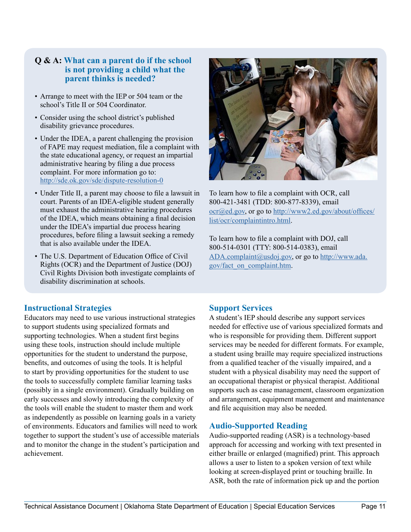#### **Q & A: What can a parent do if the school is not providing a child what the parent thinks is needed?**

- Arrange to meet with the IEP or 504 team or the school's Title II or 504 Coordinator.
- Consider using the school district's published disability grievance procedures.
- Under the IDEA, a parent challenging the provision of FAPE may request mediation, file a complaint with the state educational agency, or request an impartial administrative hearing by filing a due process complaint. For more information go to: <http://sde.ok.gov/sde/dispute>-resolution-0
- Under Title II, a parent may choose to file a lawsuit in court. Parents of an IDEA-eligible student generally must exhaust the administrative hearing procedures of the IDEA, which means obtaining a final decision under the IDEA's impartial due process hearing procedures, before filing a lawsuit seeking a remedy that is also available under the IDEA.
- The U.S. Department of Education Office of Civil Rights (OCR) and the Department of Justice (DOJ) Civil Rights Division both investigate complaints of disability discrimination at schools.



To learn how to file a complaint with OCR, call 800-421-3481 (TDD: 800-877-8339), email ocr@ed.gov, or go to [http://www2.ed.gov/about/offices/](http://www2.ed.gov/about/offices/list/ocr/complaintintro.html) [list/ocr/complaintintro.html](http://www2.ed.gov/about/offices/list/ocr/complaintintro.html).

To learn how to file a complaint with DOJ, call 800-514-0301 (TTY: 800-514-0383), email [ADA.complaint@usdoj.gov,](mailto:ADA.complaint@usdoj.gov) or go to [http://www.ada.](http://www.ada.gov/fact_on_complaint.htm) [gov/fact\\_on\\_complaint.htm.](http://www.ada.gov/fact_on_complaint.htm)

#### **Instructional Strategies**

Educators may need to use various instructional strategies to support students using specialized formats and supporting technologies. When a student first begins using these tools, instruction should include multiple opportunities for the student to understand the purpose, benefits, and outcomes of using the tools. It is helpful to start by providing opportunities for the student to use the tools to successfully complete familiar learning tasks (possibly in a single environment). Gradually building on early successes and slowly introducing the complexity of the tools will enable the student to master them and work as independently as possible on learning goals in a variety of environments. Educators and families will need to work together to support the student's use of accessible materials and to monitor the change in the student's participation and achievement.

## **Support Services**

A student's IEP should describe any support services needed for effective use of various specialized formats and who is responsible for providing them. Different support services may be needed for different formats. For example, a student using braille may require specialized instructions from a qualified teacher of the visually impaired, and a student with a physical disability may need the support of an occupational therapist or physical therapist. Additional supports such as case management, classroom organization and arrangement, equipment management and maintenance and file acquisition may also be needed.

#### **Audio-Supported Reading**

Audio-supported reading (ASR) is a technology-based approach for accessing and working with text presented in either braille or enlarged (magnified) print. This approach allows a user to listen to a spoken version of text while looking at screen-displayed print or touching braille. In ASR, both the rate of information pick up and the portion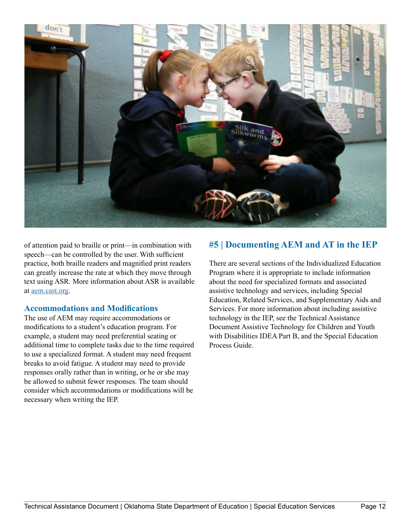<span id="page-14-0"></span>

of attention paid to braille or print—in combination with speech—can be controlled by the user. With sufficient practice, both braille readers and magnified print readers can greatly increase the rate at which they move through text using ASR. More information about ASR is available at [aem.cast.org](http://aem.cast.org).

#### **Accommodations and Modifications**

The use of AEM may require accommodations or modifications to a student's education program. For example, a student may need preferential seating or additional time to complete tasks due to the time required to use a specialized format. A student may need frequent breaks to avoid fatigue. A student may need to provide responses orally rather than in writing, or he or she may be allowed to submit fewer responses. The team should consider which accommodations or modifications will be necessary when writing the IEP.

## **#5 | Documenting AEM and AT in the IEP**

There are several sections of the Individualized Education Program where it is appropriate to include information about the need for specialized formats and associated assistive technology and services, including Special Education, Related Services, and Supplementary Aids and Services. For more information about including assistive technology in the IEP, see the Technical Assistance Document Assistive Technology for Children and Youth with Disabilities IDEA Part B, and the Special Education Process Guide.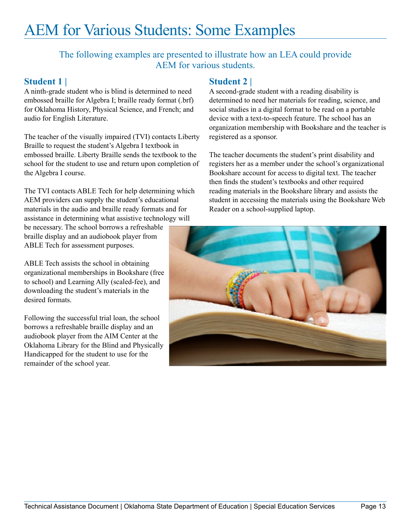# <span id="page-15-0"></span>AEM for Various Students: Some Examples

The following examples are presented to illustrate how an LEA could provide AEM for various students.

## **Student 1 |**

A ninth-grade student who is blind is determined to need embossed braille for Algebra I; braille ready format (.brf) for Oklahoma History, Physical Science, and French; and audio for English Literature.

The teacher of the visually impaired (TVI) contacts Liberty Braille to request the student's Algebra I textbook in embossed braille. Liberty Braille sends the textbook to the school for the student to use and return upon completion of the Algebra I course.

The TVI contacts ABLE Tech for help determining which AEM providers can supply the student's educational materials in the audio and braille ready formats and for assistance in determining what assistive technology will

be necessary. The school borrows a refreshable braille display and an audiobook player from ABLE Tech for assessment purposes.

ABLE Tech assists the school in obtaining organizational memberships in Bookshare (free to school) and Learning Ally (scaled-fee), and downloading the student's materials in the desired formats.

Following the successful trial loan, the school borrows a refreshable braille display and an audiobook player from the AIM Center at the Oklahoma Library for the Blind and Physically Handicapped for the student to use for the remainder of the school year.

## **Student 2 |**

A second-grade student with a reading disability is determined to need her materials for reading, science, and social studies in a digital format to be read on a portable device with a text-to-speech feature. The school has an organization membership with Bookshare and the teacher is registered as a sponsor.

The teacher documents the student's print disability and registers her as a member under the school's organizational Bookshare account for access to digital text. The teacher then finds the student's textbooks and other required reading materials in the Bookshare library and assists the student in accessing the materials using the Bookshare Web Reader on a school-supplied laptop.

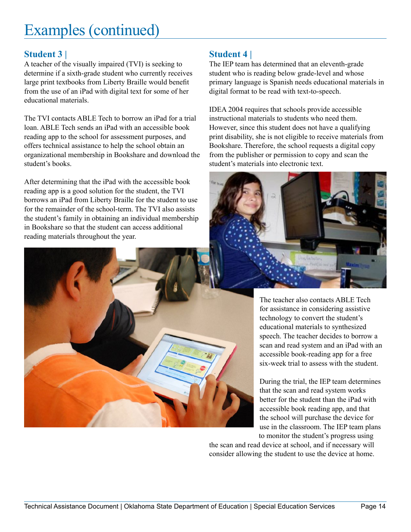# Examples (continued)

## **Student 3 |**

A teacher of the visually impaired (TVI) is seeking to determine if a sixth-grade student who currently receives large print textbooks from Liberty Braille would benefit from the use of an iPad with digital text for some of her educational materials.

The TVI contacts ABLE Tech to borrow an iPad for a trial loan. ABLE Tech sends an iPad with an accessible book reading app to the school for assessment purposes, and offers technical assistance to help the school obtain an organizational membership in Bookshare and download the student's books.

After determining that the iPad with the accessible book reading app is a good solution for the student, the TVI borrows an iPad from Liberty Braille for the student to use for the remainder of the school-term. The TVI also assists the student's family in obtaining an individual membership in Bookshare so that the student can access additional reading materials throughout the year.

## **Student 4 |**

The IEP team has determined that an eleventh-grade student who is reading below grade-level and whose primary language is Spanish needs educational materials in digital format to be read with text-to-speech.

IDEA 2004 requires that schools provide accessible instructional materials to students who need them. However, since this student does not have a qualifying print disability, she is not eligible to receive materials from Bookshare. Therefore, the school requests a digital copy from the publisher or permission to copy and scan the student's materials into electronic text.



The teacher also contacts ABLE Tech for assistance in considering assistive technology to convert the student's educational materials to synthesized speech. The teacher decides to borrow a scan and read system and an iPad with an accessible book-reading app for a free six-week trial to assess with the student.

During the trial, the IEP team determines that the scan and read system works better for the student than the iPad with accessible book reading app, and that the school will purchase the device for use in the classroom. The IEP team plans to monitor the student's progress using

the scan and read device at school, and if necessary will consider allowing the student to use the device at home.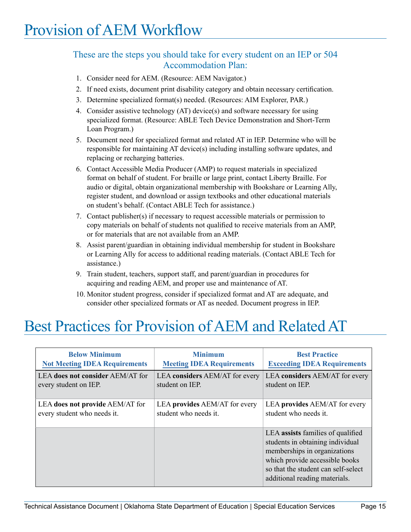## <span id="page-17-0"></span>These are the steps you should take for every student on an IEP or 504 Accommodation Plan:

- 1. Consider need for AEM. (Resource: AEM Navigator.)
- 2. If need exists, document print disability category and obtain necessary certification.
- 3. Determine specialized format(s) needed. (Resources: AIM Explorer, PAR.)
- 4. Consider assistive technology (AT) device(s) and software necessary for using specialized format. (Resource: ABLE Tech Device Demonstration and Short-Term Loan Program.)
- 5. Document need for specialized format and related AT in IEP. Determine who will be responsible for maintaining AT device(s) including installing software updates, and replacing or recharging batteries.
- 6. Contact Accessible Media Producer (AMP) to request materials in specialized format on behalf of student. For braille or large print, contact Liberty Braille. For audio or digital, obtain organizational membership with Bookshare or Learning Ally, register student, and download or assign textbooks and other educational materials on student's behalf. (Contact ABLE Tech for assistance.)
- 7. Contact publisher(s) if necessary to request accessible materials or permission to copy materials on behalf of students not qualified to receive materials from an AMP, or for materials that are not available from an AMP.
- 8. Assist parent/guardian in obtaining individual membership for student in Bookshare or Learning Ally for access to additional reading materials. (Contact ABLE Tech for assistance.)
- 9. Train student, teachers, support staff, and parent/guardian in procedures for acquiring and reading AEM, and proper use and maintenance of AT.
- 10. Monitor student progress, consider if specialized format and AT are adequate, and consider other specialized formats or AT as needed. Document progress in IEP.

# Best Practices for Provision of AEM and Related AT

| <b>Below Minimum</b>                 | <b>Minimum</b>                   | <b>Best Practice</b>                                                                                                                                                                                            |
|--------------------------------------|----------------------------------|-----------------------------------------------------------------------------------------------------------------------------------------------------------------------------------------------------------------|
| <b>Not Meeting IDEA Requirements</b> | <b>Meeting IDEA Requirements</b> | <b>Exceeding IDEA Requirements</b>                                                                                                                                                                              |
| LEA does not consider AEM/AT for     | LEA considers AEM/AT for every   | LEA considers AEM/AT for every                                                                                                                                                                                  |
| every student on IEP.                | student on IEP.                  | student on IEP.                                                                                                                                                                                                 |
| LEA does not provide AEM/AT for      | LEA provides AEM/AT for every    | LEA provides AEM/AT for every                                                                                                                                                                                   |
| every student who needs it.          | student who needs it.            | student who needs it.                                                                                                                                                                                           |
|                                      |                                  | LEA assists families of qualified<br>students in obtaining individual<br>memberships in organizations<br>which provide accessible books<br>so that the student can self-select<br>additional reading materials. |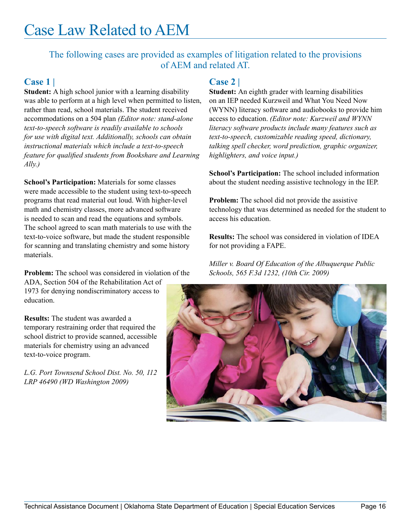## <span id="page-18-0"></span>Case Law Related to AEM

## The following cases are provided as examples of litigation related to the provisions of AEM and related AT.

## **Case 1 |**

**Student:** A high school junior with a learning disability was able to perform at a high level when permitted to listen, rather than read, school materials. The student received accommodations on a 504 plan *(Editor note: stand-alone text-to-speech software is readily available to schools for use with digital text. Additionally, schools can obtain instructional materials which include a text-to-speech feature for qualified students from Bookshare and Learning Ally.)*

**School's Participation:** Materials for some classes were made accessible to the student using text-to-speech programs that read material out loud. With higher-level math and chemistry classes, more advanced software is needed to scan and read the equations and symbols. The school agreed to scan math materials to use with the text-to-voice software, but made the student responsible for scanning and translating chemistry and some history materials.

**Problem:** The school was considered in violation of the ADA, Section 504 of the Rehabilitation Act of

1973 for denying nondiscriminatory access to education.

**Results:** The student was awarded a temporary restraining order that required the school district to provide scanned, accessible materials for chemistry using an advanced text-to-voice program.

*L.G. Port Townsend School Dist. No. 50, 112 LRP 46490 (WD Washington 2009)*

## **Case 2 |**

**Student:** An eighth grader with learning disabilities on an IEP needed Kurzweil and What You Need Now (WYNN) literacy software and audiobooks to provide him access to education. *(Editor note: Kurzweil and WYNN literacy software products include many features such as text-to-speech, customizable reading speed, dictionary, talking spell checker, word prediction, graphic organizer, highlighters, and voice input.)*

**School's Participation:** The school included information about the student needing assistive technology in the IEP.

**Problem:** The school did not provide the assistive technology that was determined as needed for the student to access his education.

**Results:** The school was considered in violation of IDEA for not providing a FAPE.

*Miller v. Board Of Education of the Albuquerque Public Schools, 565 F.3d 1232, (10th Cir. 2009)*

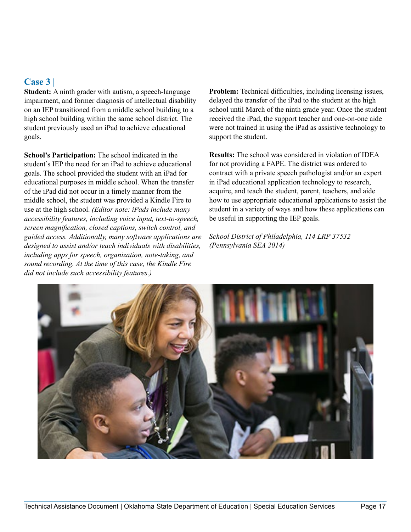## **Case 3 |**

**Student:** A ninth grader with autism, a speech-language impairment, and former diagnosis of intellectual disability on an IEP transitioned from a middle school building to a high school building within the same school district. The student previously used an iPad to achieve educational goals.

**School's Participation:** The school indicated in the student's IEP the need for an iPad to achieve educational goals. The school provided the student with an iPad for educational purposes in middle school. When the transfer of the iPad did not occur in a timely manner from the middle school, the student was provided a Kindle Fire to use at the high school. *(Editor note: iPads include many accessibility features, including voice input, text-to-speech, screen magnification, closed captions, switch control, and guided access. Additionally, many software applications are designed to assist and/or teach individuals with disabilities, including apps for speech, organization, note-taking, and sound recording. At the time of this case, the Kindle Fire did not include such accessibility features.)*

**Problem:** Technical difficulties, including licensing issues, delayed the transfer of the iPad to the student at the high school until March of the ninth grade year. Once the student received the iPad, the support teacher and one-on-one aide were not trained in using the iPad as assistive technology to support the student.

**Results:** The school was considered in violation of IDEA for not providing a FAPE. The district was ordered to contract with a private speech pathologist and/or an expert in iPad educational application technology to research, acquire, and teach the student, parent, teachers, and aide how to use appropriate educational applications to assist the student in a variety of ways and how these applications can be useful in supporting the IEP goals.

*School District of Philadelphia, 114 LRP 37532 (Pennsylvania SEA 2014)*

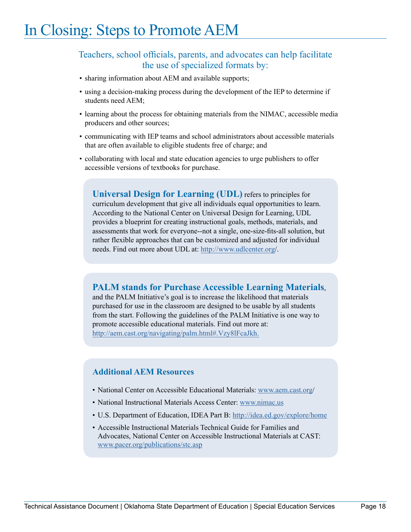## <span id="page-20-0"></span>Teachers, school officials, parents, and advocates can help facilitate the use of specialized formats by:

- sharing information about AEM and available supports;
- using a decision-making process during the development of the IEP to determine if students need AEM;
- learning about the process for obtaining materials from the NIMAC, accessible media producers and other sources;
- communicating with IEP teams and school administrators about accessible materials that are often available to eligible students free of charge; and
- collaborating with local and state education agencies to urge publishers to offer accessible versions of textbooks for purchase.

**Universal Design for Learning (UDL)** refers to principles for curriculum development that give all individuals equal opportunities to learn. According to the National Center on Universal Design for Learning, UDL provides a blueprint for creating instructional goals, methods, materials, and assessments that work for everyone--not a single, one-size-fits-all solution, but rather flexible approaches that can be customized and adjusted for individual needs. Find out more about UDL at: [http://www.udlcenter.org/](http://www.udlcenter.org).

## **PALM stands for Purchase Accessible Learning Materials**,

and the PALM Initiative's goal is to increase the likelihood that materials purchased for use in the classroom are designed to be usable by all students from the start. Following the guidelines of the PALM Initiative is one way to promote accessible educational materials. Find out more at: <http://aem.cast.org/navigating/palm.html#.Vzy8lFcaJkh.>

#### **Additional AEM Resources**

- National Center on Accessible Educational Materials: [www.aem.cast.org/](www.aem.cast.org)
- National Instructional Materials Access Center:<www.nimac.us>
- U.S. Department of Education, IDEA Part B: <http://idea.ed.gov/explore/home>
- Accessible Instructional Materials Technical Guide for Families and Advocates, National Center on Accessible Instructional Materials at CAST: <www.pacer.org/publications/stc.asp>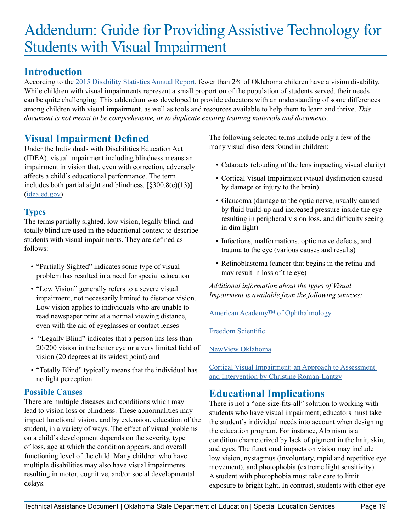# <span id="page-21-0"></span>Addendum: Guide for Providing Assistive Technology for Students with Visual Impairment

## **Introduction**

According to the [2015 Disability Statistics Annual Report](http://www.disabilitycompendium.org/docs/default-source/2015-compendium/annualreport_2015_final.pdf), fewer than 2% of Oklahoma children have a vision disability. While children with visual impairments represent a small proportion of the population of students served, their needs can be quite challenging. This addendum was developed to provide educators with an understanding of some differences among children with visual impairment, as well as tools and resources available to help them to learn and thrive. *This document is not meant to be comprehensive, or to duplicate existing training materials and documents.* 

## **Visual Impairment Defined**

Under the Individuals with Disabilities Education Act (IDEA), visual impairment including blindness means an impairment in vision that, even with correction, adversely affects a child's educational performance. The term includes both partial sight and blindness.  $[\S 300.8(c)(13)]$ ([idea.ed.gov](http://idea.ed.gov/explore/view/p/%252Croot%252Cregs%252C300%252CA%252C300%25252E8%252C))

## **Types**

The terms partially sighted, low vision, legally blind, and totally blind are used in the educational context to describe students with visual impairments. They are defined as follows:

- "Partially Sighted" indicates some type of visual problem has resulted in a need for special education
- "Low Vision" generally refers to a severe visual impairment, not necessarily limited to distance vision. Low vision applies to individuals who are unable to read newspaper print at a normal viewing distance, even with the aid of eyeglasses or contact lenses
- "Legally Blind" indicates that a person has less than 20/200 vision in the better eye or a very limited field of vision (20 degrees at its widest point) and
- "Totally Blind" typically means that the individual has no light perception

## **Possible Causes**

There are multiple diseases and conditions which may lead to vision loss or blindness. These abnormalities may impact functional vision, and by extension, education of the student, in a variety of ways. The effect of visual problems on a child's development depends on the severity, type of loss, age at which the condition appears, and overall functioning level of the child. Many children who have multiple disabilities may also have visual impairments resulting in motor, cognitive, and/or social developmental delays.

The following selected terms include only a few of the many visual disorders found in children:

- Cataracts (clouding of the lens impacting visual clarity)
- Cortical Visual Impairment (visual dysfunction caused by damage or injury to the brain)
- Glaucoma (damage to the optic nerve, usually caused by fluid build-up and increased pressure inside the eye resulting in peripheral vision loss, and difficulty seeing in dim light)
- Infections, malformations, optic nerve defects, and trauma to the eye (various causes and results)
- Retinoblastoma (cancer that begins in the retina and may result in loss of the eye)

*Additional information about the types of Visual Impairment is available from the following sources:* 

[American Academy™ of Ophthalmology](http://www.aao.org/eye-health)

[Freedom Scientific](http://www.freedomscientific.com/Support/VisionLoss/TypesOfVisualImpairment)

[NewView Oklahoma](http://www.newviewoklahoma.org/)

[Cortical Visual Impairment: an Approach to Assessment](http://www.afb.org/store/Pages/ShoppingCart/ProductDetails.aspx?ProductId=978-0-89128-829-9&ruling=Yes)  [and Intervention by Christine Roman-Lantzy](http://www.afb.org/store/Pages/ShoppingCart/ProductDetails.aspx?ProductId=978-0-89128-829-9&ruling=Yes)

## **Educational Implications**

There is not a "one-size-fits-all" solution to working with students who have visual impairment; educators must take the student's individual needs into account when designing the education program. For instance, Albinism is a condition characterized by lack of pigment in the hair, skin, and eyes. The functional impacts on vision may include low vision, nystagmus (involuntary, rapid and repetitive eye movement), and photophobia (extreme light sensitivity). A student with photophobia must take care to limit exposure to bright light. In contrast, students with other eye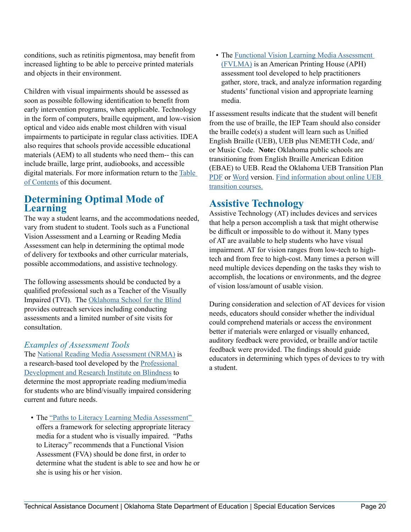conditions, such as retinitis pigmentosa, may benefit from increased lighting to be able to perceive printed materials and objects in their environment.

Children with visual impairments should be assessed as soon as possible following identification to benefit from early intervention programs, when applicable. Technology in the form of computers, braille equipment, and low-vision optical and video aids enable most children with visual impairments to participate in regular class activities. IDEA also requires that schools provide accessible educational materials (AEM) to all students who need them-- this can include braille, large print, audiobooks, and accessible digital materials. For more information return to the [Table](#page-2-0)  [of Contents](#page-2-0) of this document[.](https://www.ok.gov/abletech/documents/2016_AEM-TA_Document.pdf)

## **Determining Optimal Mode of Learning**

The way a student learns, and the accommodations needed, vary from student to student. Tools such as a Functional Vision Assessment and a Learning or Reading Media Assessment can help in determining the optimal mode of delivery for textbooks and other curricular materials, possible accommodations, and assistive technology.

The following assessments should be conducted by a qualified professional such as a Teacher of the Visually Impaired (TVI). The [Oklahoma School for the Blind](http://osb.k12.ok.us/) provides outreach services including conducting assessments and a limited number of site visits for consultation.

## *Examples of Assessment Tools*

The [National Reading Media Assessment \(NRMA\)](https://www.nfbnrma.org/admin/users/about.php) is a research-based tool developed by the [Professional](http://www.pdrib.com/)  [Development and Research Institute on Blindness](http://www.pdrib.com/) to determine the most appropriate reading medium/media for students who are blind/visually impaired considering current and future needs.

• The ["Paths to Literacy Learning Media Assessment"](http://www.pathstoliteracy.org/learning-media-assessment) offers a framework for selecting appropriate literacy media for a student who is visually impaired. "Paths to Literacy" recommends that a Functional Vision Assessment (FVA) should be done first, in order to determine what the student is able to see and how he or she is using his or her vision.

• The Functional Vision Learning Media Assessment [\(FVLMA\)](https://shop.aph.org/webapp/wcs/stores/servlet/Product_FVLMA Kit: Functional Vision and Learning Media Assessment_7-96151-00P_10001_11051) is an American Printing House (APH) assessment tool developed to help practitioners gather, store, track, and analyze information regarding students' functional vision and appropriate learning media.

If assessment results indicate that the student will benefit from the use of braille, the IEP Team should also consider the braille code(s) a student will learn such as Unified English Braille (UEB), UEB plus NEMETH Code, and/ or Music Code. **Note:** Oklahoma public schools are transitioning from English Braille American Edition (EBAE) to UEB. Read the Oklahoma UEB Transition Plan [PDF](https://www.ok.gov/abletech/documents/UEB_Transition_Plan.pdf) or [Word](https://www.ok.gov/abletech/documents/UEB_Transition_Plan.docx) version. [Find information about online UEB](http://brailleauthority.org/ueb.html#learn)  [transition courses.](http://brailleauthority.org/ueb.html#learn)

## **Assistive Technology**

Assistive Technology (AT) includes devices and services that help a person accomplish a task that might otherwise be difficult or impossible to do without it. Many types of AT are available to help students who have visual impairment. AT for vision ranges from low-tech to hightech and from free to high-cost. Many times a person will need multiple devices depending on the tasks they wish to accomplish, the locations or environments, and the degree of vision loss/amount of usable vision.

During consideration and selection of AT devices for vision needs, educators should consider whether the individual could comprehend materials or access the environment better if materials were enlarged or visually enhanced, auditory feedback were provided, or braille and/or tactile feedback were provided. The findings should guide educators in determining which types of devices to try with a student.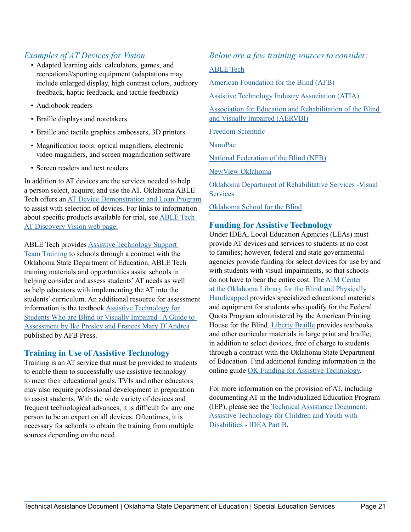## *Examples of AT Devices for Vision*

- Adapted learning aids: calculators, games, and recreational/sporting equipment (adaptations may include enlarged display, high contrast colors, auditory feedback, haptic feedback, and tactile feedback)
- Audiobook readers
- Braille displays and notetakers
- Braille and tactile graphics embossers, 3D printers
- Magnification tools: optical magnifiers, electronic video magnifiers, and screen magnification software
- Screen readers and text readers

In addition to AT devices are the services needed to help a person select, acquire, and use the AT. Oklahoma ABLE Tech offers an [AT Device Demonstration and Loan Program](http://oec.okstate.edu/loan/) to assist with selection of devices. For links to information about specific products available for trial, see [ABLE Tech](https://www.ok.gov/abletech/Resources/AT_Discovery_-_Vision.html)  [AT Discovery Vision web page.](https://www.ok.gov/abletech/Resources/AT_Discovery_-_Vision.html)

ABLE Tech provides [Assistive Technology Support](https://www.ok.gov/abletech/Programs_for_Children_and_Youth/Assistive_Technology_&_Information_Services_Program/index.html) 

[Team Training](https://www.ok.gov/abletech/Programs_for_Children_and_Youth/Assistive_Technology_&_Information_Services_Program/index.html) to schools through a contract with the Oklahoma State Department of Education. ABLE Tech training materials and opportunities assist schools in helping consider and assess students' AT needs as well as help educators with implementing the AT into the students' curriculum. An additional resource for assessment information is the textbook [Assistive Technology for](http://www.afb.org/store/Pages/ShoppingCart/ProductDetails.aspx?ProductId=978-0-89128-890-9)  [Students Who are Blind or Visually Impaired | A Guide to](http://www.afb.org/store/Pages/ShoppingCart/ProductDetails.aspx?ProductId=978-0-89128-890-9)  [Assessment by Ike Presley and Frances Mary D'Andrea](http://www.afb.org/store/Pages/ShoppingCart/ProductDetails.aspx?ProductId=978-0-89128-890-9) published by AFB Press.

#### **Training in Use of Assistive Technology**

Training is an AT service that must be provided to students to enable them to successfully use assistive technology to meet their educational goals. TVIs and other educators may also require professional development in preparation to assist students. With the wide variety of devices and frequent technological advances, it is difficult for any one person to be an expert on all devices. Oftentimes, it is necessary for schools to obtain the training from multiple sources depending on the need.

### *Below are a few training sources to consider:*

#### [ABLE Tech](https://www.ok.gov/abletech/)

[American Foundation for the Blind \(AFB\)](http://www.afb.org/default.aspx)

[Assistive Technology Industry Association \(ATIA\)](https://www.atia.org/)

[Association for Education and Rehabilitation of the Blind](https://aerbvi.org/)  [and Visually Impaired \(AERVBI\)](https://aerbvi.org/)

[Freedom Scientific](http://www.freedomscientific.com/Services/TrainingAndCertification)

[NanoPac](http://www.nanopac.com/)

[National Federation of the Blind \(NFB\)](https://nfb.org/)

[NewView Oklahoma](http://www.newviewoklahoma.org/)

[Oklahoma Department of Rehabilitative Services -Visual](http://www.okdrs.org/drupal/job-seekers/dvs)  **[Services](http://www.okdrs.org/drupal/job-seekers/dvs)** 

[Oklahoma School for the Blind](http://osb.k12.ok.us/)

## **Funding for Assistive Technology**

Under IDEA, Local Education Agencies (LEAs) must provide AT devices and services to students at no cost to families; however, federal and state governmental agencies provide funding for select devices for use by and with students with visual impairments, so that schools do not have to bear the entire cost. The [AIM Center](http://olbph.org/dir/AIM)  [at the Oklahoma Library for the Blind and Physically](http://olbph.org/dir/AIM)  [Handicapped](http://olbph.org/dir/AIM) provides specialized educational materials and equipment for students who qualify for the Federal Quota Program administered by the American Printing House for the Blind. [Liberty Braille](http://libertybraille.com/) provides textbooks and other curricular materials in large print and braille, in addition to select devices, free of charge to students through a contract with the Oklahoma State Department of Education. Find additional funding information in the online guide [OK Funding for Assistive Technology](http://fundingguide.okstate.edu/).

For more information on the provision of AT, including documenting AT in the Individualized Education Program (IEP), please see the [Technical Assistance Document:](http://ok.gov/abletech/documents/Oklahaoma_AT-TA_Document.pdf)  [Assistive Technology for Children and Youth with](http://ok.gov/abletech/documents/Oklahaoma_AT-TA_Document.pdf)  [Disabilities - IDEA Part B](http://ok.gov/abletech/documents/Oklahaoma_AT-TA_Document.pdf).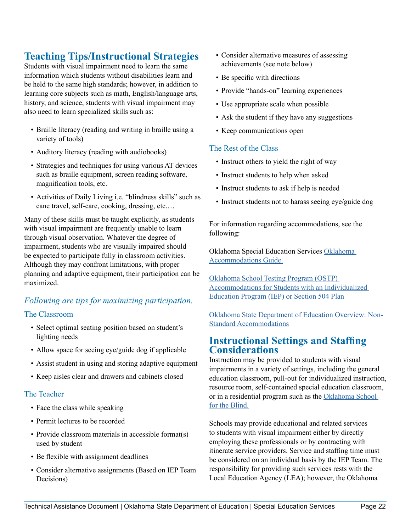## **Teaching Tips/Instructional Strategies**

Students with visual impairment need to learn the same information which students without disabilities learn and be held to the same high standards; however, in addition to learning core subjects such as math, English/language arts, history, and science, students with visual impairment may also need to learn specialized skills such as:

- Braille literacy (reading and writing in braille using a variety of tools)
- Auditory literacy (reading with audiobooks)
- Strategies and techniques for using various AT devices such as braille equipment, screen reading software, magnification tools, etc.
- Activities of Daily Living i.e. "blindness skills" such as cane travel, self-care, cooking, dressing, etc.…

Many of these skills must be taught explicitly, as students with visual impairment are frequently unable to learn through visual observation. Whatever the degree of impairment, students who are visually impaired should be expected to participate fully in classroom activities. Although they may confront limitations, with proper planning and adaptive equipment, their participation can be maximized.

## *Following are tips for maximizing participation.*

#### The Classroom

- Select optimal seating position based on student's lighting needs
- Allow space for seeing eye/guide dog if applicable
- Assist student in using and storing adaptive equipment
- Keep aisles clear and drawers and cabinets closed

#### The Teacher

- Face the class while speaking
- Permit lectures to be recorded
- Provide classroom materials in accessible format(s) used by student
- Be flexible with assignment deadlines
- Consider alternative assignments (Based on IEP Team Decisions)
- Consider alternative measures of assessing achievements (see note below)
- Be specific with directions
- Provide "hands-on" learning experiences
- Use appropriate scale when possible
- Ask the student if they have any suggestions
- Keep communications open

#### The Rest of the Class

- Instruct others to yield the right of way
- Instruct students to help when asked
- Instruct students to ask if help is needed
- Instruct students not to harass seeing eye/guide dog

For information regarding accommodations, see the following:

Oklahoma Special Education Services [Oklahoma](http://sde.ok.gov/sde/sites/ok.gov.sde/files/documents/files/Accommodations Guide_0.pdf)  [Accommodations Guide.](http://sde.ok.gov/sde/sites/ok.gov.sde/files/documents/files/Accommodations Guide_0.pdf)

[Oklahoma School Testing Program \(OSTP\)](http://sde.ok.gov/sde/sites/ok.gov.sde/files/documents/files/OSTP-IEP-504-Accommodations %2815-16%29_1.pdf)  [Accommodations for Students with an Individualized](http://sde.ok.gov/sde/sites/ok.gov.sde/files/documents/files/OSTP-IEP-504-Accommodations %2815-16%29_1.pdf)  [Education Program \(IEP\) or Section 504 Plan](http://sde.ok.gov/sde/sites/ok.gov.sde/files/documents/files/OSTP-IEP-504-Accommodations %2815-16%29_1.pdf)

[Oklahoma State Department of Education Overview: Non-](http://sde.ok.gov/sde/overview-non-standard-accommodations)[Standard Accommodations](http://sde.ok.gov/sde/overview-non-standard-accommodations)

## **Instructional Settings and Staffing Considerations**

Instruction may be provided to students with visual impairments in a variety of settings, including the general education classroom, pull-out for individualized instruction, resource room, self-contained special education classroom, or in a residential program such as the [Oklahoma School](http://osb.k12.ok.us/)  [for the Blind.](http://osb.k12.ok.us/)

Schools may provide educational and related services to students with visual impairment either by directly employing these professionals or by contracting with itinerate service providers. Service and staffing time must be considered on an individual basis by the IEP Team. The responsibility for providing such services rests with the Local Education Agency (LEA); however, the Oklahoma